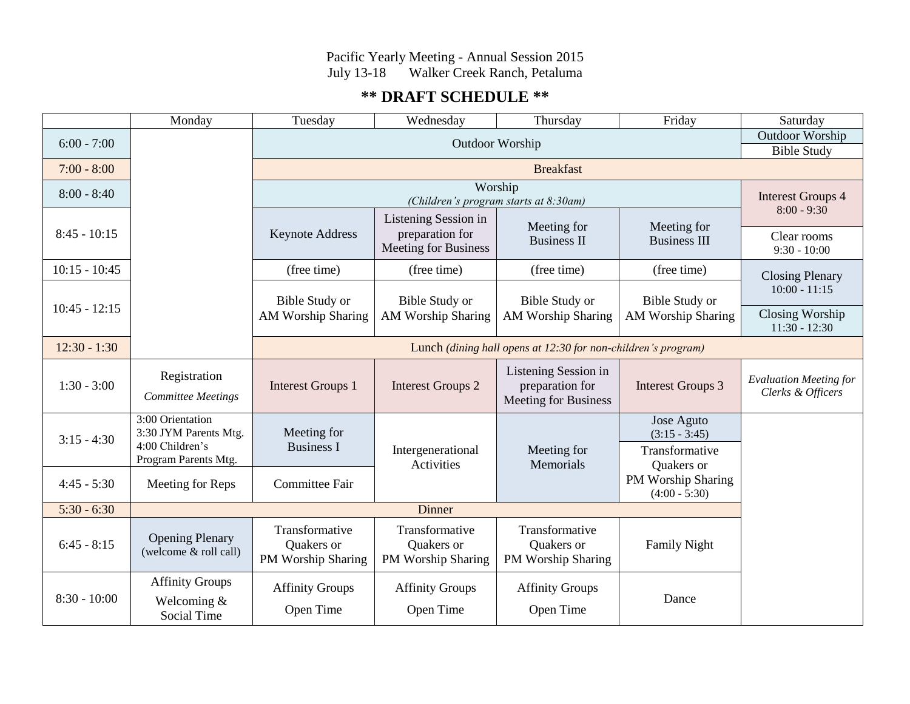# Pacific Yearly Meeting - Annual Session 2015 July 13-18 Walker Creek Ranch, Petaluma

# **\*\* DRAFT SCHEDULE \*\***

|                 | Monday                                                                               | Tuesday                                                       | Wednesday                                                       | Thursday                                                               | Friday                                                        | Saturday                                              |
|-----------------|--------------------------------------------------------------------------------------|---------------------------------------------------------------|-----------------------------------------------------------------|------------------------------------------------------------------------|---------------------------------------------------------------|-------------------------------------------------------|
| $6:00 - 7:00$   |                                                                                      | Outdoor Worship                                               |                                                                 |                                                                        |                                                               | <b>Outdoor Worship</b>                                |
|                 |                                                                                      |                                                               |                                                                 |                                                                        |                                                               | <b>Bible Study</b>                                    |
| $7:00 - 8:00$   | <b>Breakfast</b>                                                                     |                                                               |                                                                 |                                                                        |                                                               |                                                       |
| $8:00 - 8:40$   |                                                                                      | Worship<br>(Children's program starts at 8:30am)              |                                                                 |                                                                        | <b>Interest Groups 4</b><br>$8:00 - 9:30$                     |                                                       |
| $8:45 - 10:15$  |                                                                                      | <b>Keynote Address</b>                                        | Listening Session in<br>preparation for<br>Meeting for Business | Meeting for<br><b>Business II</b>                                      | Meeting for<br><b>Business III</b>                            | Clear rooms<br>$9:30 - 10:00$                         |
| $10:15 - 10:45$ |                                                                                      | (free time)                                                   | (free time)                                                     | (free time)                                                            | (free time)                                                   | <b>Closing Plenary</b>                                |
| $10:45 - 12:15$ |                                                                                      | Bible Study or<br><b>AM Worship Sharing</b>                   | Bible Study or<br><b>AM Worship Sharing</b>                     | <b>Bible Study or</b><br><b>AM Worship Sharing</b>                     | <b>Bible Study or</b><br>AM Worship Sharing                   | $10:00 - 11:15$<br>Closing Worship<br>$11:30 - 12:30$ |
| $12:30 - 1:30$  |                                                                                      | Lunch (dining hall opens at 12:30 for non-children's program) |                                                                 |                                                                        |                                                               |                                                       |
| $1:30 - 3:00$   | Registration<br><b>Committee Meetings</b>                                            | <b>Interest Groups 1</b>                                      | <b>Interest Groups 2</b>                                        | Listening Session in<br>preparation for<br><b>Meeting for Business</b> | <b>Interest Groups 3</b>                                      | <b>Evaluation Meeting for</b><br>Clerks & Officers    |
| $3:15 - 4:30$   | 3:00 Orientation<br>3:30 JYM Parents Mtg.<br>4:00 Children's<br>Program Parents Mtg. | Meeting for<br><b>Business I</b>                              | Intergenerational<br>Activities                                 | Meeting for<br>Memorials                                               | Jose Aguto<br>$(3:15 - 3:45)$<br>Transformative<br>Quakers or |                                                       |
| $4:45 - 5:30$   | Meeting for Reps                                                                     | Committee Fair                                                |                                                                 |                                                                        | PM Worship Sharing<br>$(4:00 - 5:30)$                         |                                                       |
| $5:30 - 6:30$   | Dinner                                                                               |                                                               |                                                                 |                                                                        |                                                               |                                                       |
| $6:45 - 8:15$   | <b>Opening Plenary</b><br>(welcome & roll call)                                      | Transformative<br><b>Ouakers</b> or<br>PM Worship Sharing     | Transformative<br>Quakers or<br>PM Worship Sharing              | Transformative<br><b>Ouakers</b> or<br>PM Worship Sharing              | <b>Family Night</b>                                           |                                                       |
| $8:30 - 10:00$  | <b>Affinity Groups</b><br>Welcoming $&$<br>Social Time                               | <b>Affinity Groups</b><br>Open Time                           | <b>Affinity Groups</b><br>Open Time                             | <b>Affinity Groups</b><br>Open Time                                    | Dance                                                         |                                                       |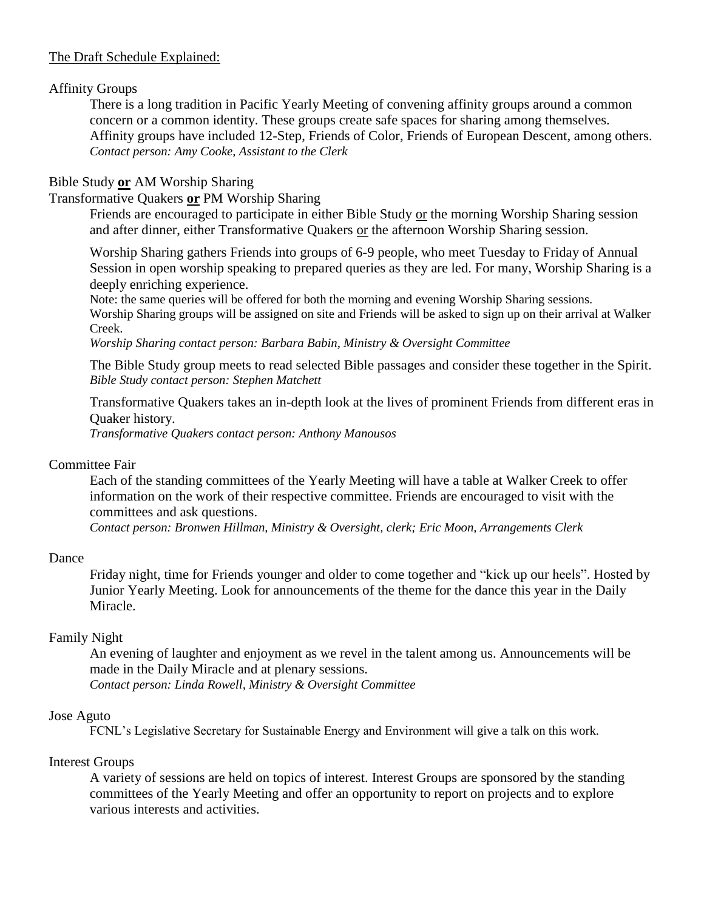# The Draft Schedule Explained:

# Affinity Groups

There is a long tradition in Pacific Yearly Meeting of convening affinity groups around a common concern or a common identity. These groups create safe spaces for sharing among themselves. Affinity groups have included 12-Step, Friends of Color, Friends of European Descent, among others. *Contact person: Amy Cooke, Assistant to the Clerk*

# Bible Study **or** AM Worship Sharing

# Transformative Quakers **or** PM Worship Sharing

Friends are encouraged to participate in either Bible Study or the morning Worship Sharing session and after dinner, either Transformative Quakers or the afternoon Worship Sharing session.

Worship Sharing gathers Friends into groups of 6-9 people, who meet Tuesday to Friday of Annual Session in open worship speaking to prepared queries as they are led. For many, Worship Sharing is a deeply enriching experience.

Note: the same queries will be offered for both the morning and evening Worship Sharing sessions. Worship Sharing groups will be assigned on site and Friends will be asked to sign up on their arrival at Walker Creek.

*Worship Sharing contact person: Barbara Babin, Ministry & Oversight Committee*

The Bible Study group meets to read selected Bible passages and consider these together in the Spirit. *Bible Study contact person: Stephen Matchett*

Transformative Quakers takes an in-depth look at the lives of prominent Friends from different eras in Quaker history. *Transformative Quakers contact person: Anthony Manousos*

## Committee Fair

Each of the standing committees of the Yearly Meeting will have a table at Walker Creek to offer information on the work of their respective committee. Friends are encouraged to visit with the committees and ask questions.

*Contact person: Bronwen Hillman, Ministry & Oversight, clerk; Eric Moon, Arrangements Clerk*

## Dance

Friday night, time for Friends younger and older to come together and "kick up our heels". Hosted by Junior Yearly Meeting. Look for announcements of the theme for the dance this year in the Daily Miracle.

# Family Night

An evening of laughter and enjoyment as we revel in the talent among us. Announcements will be made in the Daily Miracle and at plenary sessions.

*Contact person: Linda Rowell, Ministry & Oversight Committee*

# Jose Aguto

FCNL's Legislative Secretary for Sustainable Energy and Environment will give a talk on this work.

## Interest Groups

A variety of sessions are held on topics of interest. Interest Groups are sponsored by the standing committees of the Yearly Meeting and offer an opportunity to report on projects and to explore various interests and activities.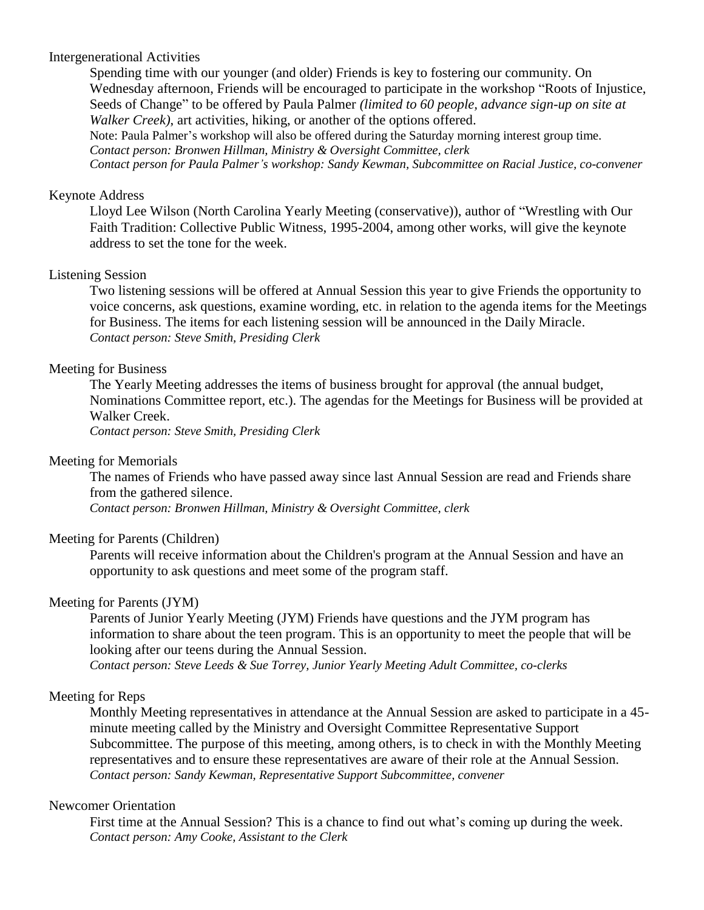## Intergenerational Activities

Spending time with our younger (and older) Friends is key to fostering our community. On Wednesday afternoon, Friends will be encouraged to participate in the workshop "Roots of Injustice, Seeds of Change" to be offered by Paula Palmer *(limited to 60 people, advance sign-up on site at Walker Creek)*, art activities, hiking, or another of the options offered.

Note: Paula Palmer's workshop will also be offered during the Saturday morning interest group time. *Contact person: Bronwen Hillman, Ministry & Oversight Committee, clerk*

*Contact person for Paula Palmer's workshop: Sandy Kewman, Subcommittee on Racial Justice, co-convener*

#### Keynote Address

Lloyd Lee Wilson (North Carolina Yearly Meeting (conservative)), author of "Wrestling with Our Faith Tradition: Collective Public Witness, 1995-2004, among other works, will give the keynote address to set the tone for the week.

#### Listening Session

Two listening sessions will be offered at Annual Session this year to give Friends the opportunity to voice concerns, ask questions, examine wording, etc. in relation to the agenda items for the Meetings for Business. The items for each listening session will be announced in the Daily Miracle. *Contact person: Steve Smith, Presiding Clerk*

## Meeting for Business

The Yearly Meeting addresses the items of business brought for approval (the annual budget, Nominations Committee report, etc.). The agendas for the Meetings for Business will be provided at Walker Creek.

*Contact person: Steve Smith, Presiding Clerk*

#### Meeting for Memorials

The names of Friends who have passed away since last Annual Session are read and Friends share from the gathered silence.

*Contact person: Bronwen Hillman, Ministry & Oversight Committee, clerk*

#### Meeting for Parents (Children)

Parents will receive information about the Children's program at the Annual Session and have an opportunity to ask questions and meet some of the program staff.

#### Meeting for Parents (JYM)

Parents of Junior Yearly Meeting (JYM) Friends have questions and the JYM program has information to share about the teen program. This is an opportunity to meet the people that will be looking after our teens during the Annual Session.

*Contact person: Steve Leeds & Sue Torrey, Junior Yearly Meeting Adult Committee, co-clerks*

## Meeting for Reps

Monthly Meeting representatives in attendance at the Annual Session are asked to participate in a 45 minute meeting called by the Ministry and Oversight Committee Representative Support Subcommittee. The purpose of this meeting, among others, is to check in with the Monthly Meeting representatives and to ensure these representatives are aware of their role at the Annual Session. *Contact person: Sandy Kewman, Representative Support Subcommittee, convener*

## Newcomer Orientation

First time at the Annual Session? This is a chance to find out what's coming up during the week. *Contact person: Amy Cooke, Assistant to the Clerk*